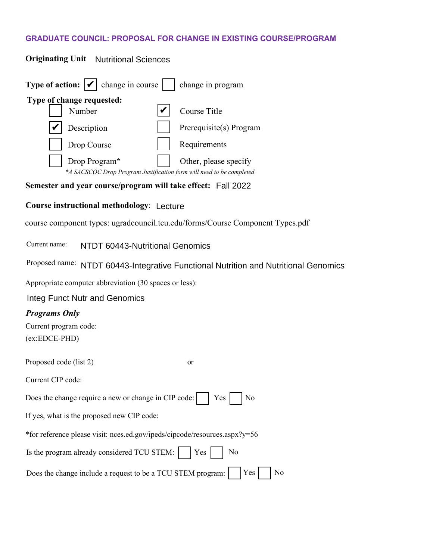# **GRADUATE COUNCIL: PROPOSAL FOR CHANGE IN EXISTING COURSE/PROGRAM**

| <b>Originating Unit</b> Nutritional Sciences                               |                                                                                               |
|----------------------------------------------------------------------------|-----------------------------------------------------------------------------------------------|
| <b>Type of action:</b> $ \mathcal{V} $ change in course                    | change in program                                                                             |
| Type of change requested:                                                  |                                                                                               |
| Number                                                                     | Course Title                                                                                  |
| Description                                                                | Prerequisite(s) Program                                                                       |
| Drop Course                                                                | Requirements                                                                                  |
| Drop Program*                                                              | Other, please specify<br>*A SACSCOC Drop Program Justification form will need to be completed |
| Semester and year course/program will take effect: Fall 2022               |                                                                                               |
| <b>Course instructional methodology: Lecture</b>                           |                                                                                               |
|                                                                            | course component types: ugradcouncil.tcu.edu/forms/Course Component Types.pdf                 |
| Current name:<br>NTDT 60443-Nutritional Genomics                           |                                                                                               |
|                                                                            | Proposed name: NTDT 60443-Integrative Functional Nutrition and Nutritional Genomics           |
| Appropriate computer abbreviation (30 spaces or less):                     |                                                                                               |
| Integ Funct Nutr and Genomics                                              |                                                                                               |
| <b>Programs Only</b>                                                       |                                                                                               |
| Current program code:                                                      |                                                                                               |
| $(ex:EDCE-PHD)$                                                            |                                                                                               |
| Proposed code (list 2)                                                     | <b>or</b>                                                                                     |
| Current CIP code:                                                          |                                                                                               |
| Does the change require a new or change in CIP code:                       | Yes<br>No                                                                                     |
| If yes, what is the proposed new CIP code:                                 |                                                                                               |
| *for reference please visit: nces.ed.gov/ipeds/cipcode/resources.aspx?y=56 |                                                                                               |
| Is the program already considered TCU STEM:                                | N <sub>o</sub><br>Yes                                                                         |
| Does the change include a request to be a TCU STEM program:                | Yes<br>No                                                                                     |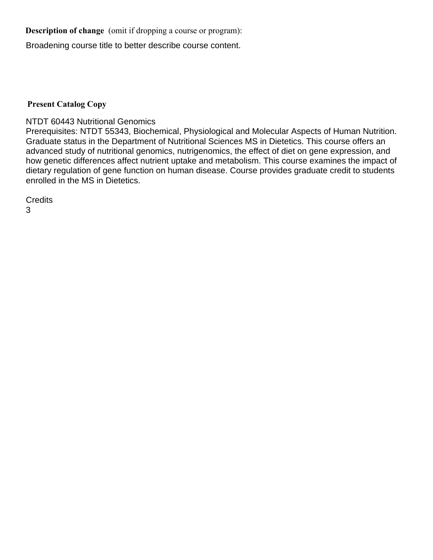**Description of change** (omit if dropping a course or program):

Broadening course title to better describe course content.

### **Present Catalog Copy**

NTDT 60443 Nutritional Genomics

Prerequisites: NTDT 55343, Biochemical, Physiological and Molecular Aspects of Human Nutrition. Graduate status in the Department of Nutritional Sciences MS in Dietetics. This course offers an advanced study of nutritional genomics, nutrigenomics, the effect of diet on gene expression, and how genetic differences affect nutrient uptake and metabolism. This course examines the impact of dietary regulation of gene function on human disease. Course provides graduate credit to students enrolled in the MS in Dietetics.

**Credits** 3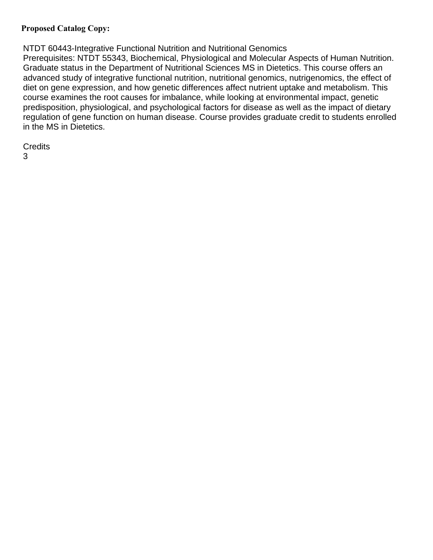### **Proposed Catalog Copy:**

NTDT 60443-Integrative Functional Nutrition and Nutritional Genomics

Prerequisites: NTDT 55343, Biochemical, Physiological and Molecular Aspects of Human Nutrition. Graduate status in the Department of Nutritional Sciences MS in Dietetics. This course offers an advanced study of integrative functional nutrition, nutritional genomics, nutrigenomics, the effect of diet on gene expression, and how genetic differences affect nutrient uptake and metabolism. This course examines the root causes for imbalance, while looking at environmental impact, genetic predisposition, physiological, and psychological factors for disease as well as the impact of dietary regulation of gene function on human disease. Course provides graduate credit to students enrolled in the MS in Dietetics.

**Credits** 

3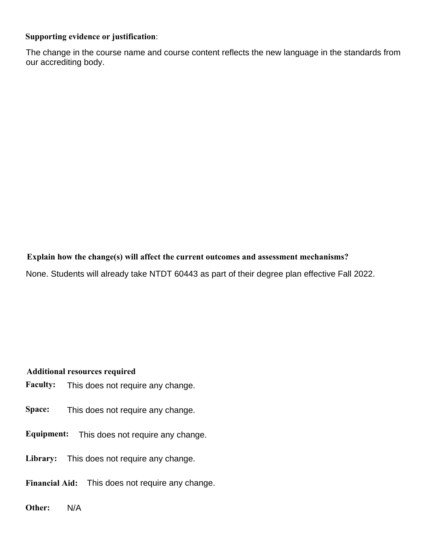### **Supporting evidence or justification**:

The change in the course name and course content reflects the new language in the standards from our accrediting body.

# **Explain how the change(s) will affect the current outcomes and assessment mechanisms?**

None. Students will already take NTDT 60443 as part of their degree plan effective Fall 2022.

### **Additional resources required**

- **Faculty:**  This does not require any change.
- **Space:**  This does not require any change.
- **Equipment:**  This does not require any change.
- **Library:**  This does not require any change.
- **Financial Aid:**  This does not require any change.
- **Other:**  N/A